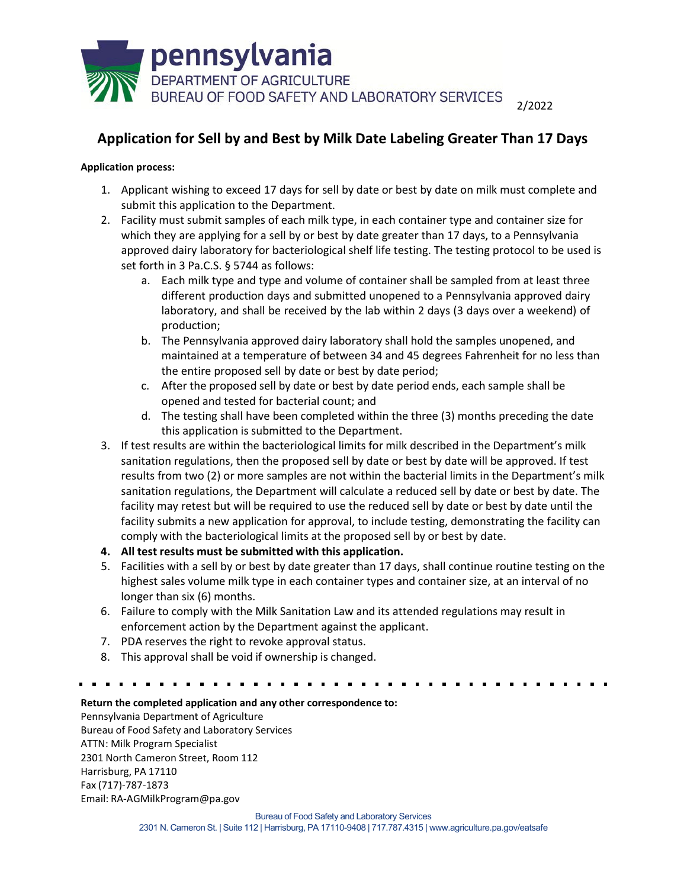

## **Application for Sell by and Best by Milk Date Labeling Greater Than 17 Days**

## **Application process:**

- 1. Applicant wishing to exceed 17 days for sell by date or best by date on milk must complete and submit this application to the Department.
- 2. Facility must submit samples of each milk type, in each container type and container size for which they are applying for a sell by or best by date greater than 17 days, to a Pennsylvania approved dairy laboratory for bacteriological shelf life testing. The testing protocol to be used is set forth in 3 Pa.C.S. § 5744 as follows:
	- a. Each milk type and type and volume of container shall be sampled from at least three different production days and submitted unopened to a Pennsylvania approved dairy laboratory, and shall be received by the lab within 2 days (3 days over a weekend) of production;
	- b. The Pennsylvania approved dairy laboratory shall hold the samples unopened, and maintained at a temperature of between 34 and 45 degrees Fahrenheit for no less than the entire proposed sell by date or best by date period;
	- c. After the proposed sell by date or best by date period ends, each sample shall be opened and tested for bacterial count; and
	- d. The testing shall have been completed within the three (3) months preceding the date this application is submitted to the Department.
- 3. If test results are within the bacteriological limits for milk described in the Department's milk sanitation regulations, then the proposed sell by date or best by date will be approved. If test results from two (2) or more samples are not within the bacterial limits in the Department's milk sanitation regulations, the Department will calculate a reduced sell by date or best by date. The facility may retest but will be required to use the reduced sell by date or best by date until the facility submits a new application for approval, to include testing, demonstrating the facility can comply with the bacteriological limits at the proposed sell by or best by date.
- **4. All test results must be submitted with this application.**
- 5. Facilities with a sell by or best by date greater than 17 days, shall continue routine testing on the highest sales volume milk type in each container types and container size, at an interval of no longer than six (6) months.
- 6. Failure to comply with the Milk Sanitation Law and its attended regulations may result in enforcement action by the Department against the applicant.
- 7. PDA reserves the right to revoke approval status.
- 8. This approval shall be void if ownership is changed.

## **Return the completed application and any other correspondence to:**

Pennsylvania Department of Agriculture Bureau of Food Safety and Laboratory Services ATTN: Milk Program Specialist 2301 North Cameron Street, Room 112 Harrisburg, PA 17110 Fax (717)-787-1873 Email: [RA-AGMilkProgram@pa.gov](mailto:RA-AGMilkProgram@pa.gov)